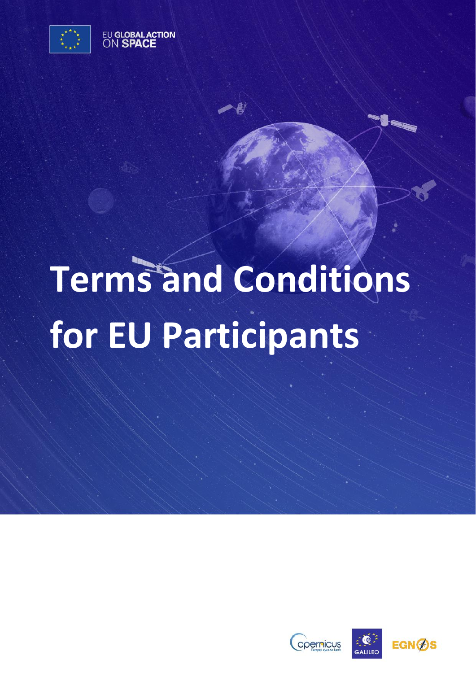

EU GLOBAL ACTION

# **Terms and Conditions for EU Participants**

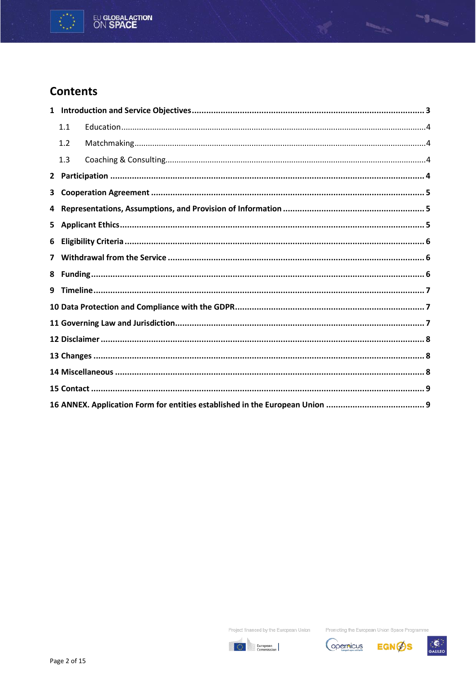

# **Contents**

|   | 1.1 |  |  |
|---|-----|--|--|
|   | 1.2 |  |  |
|   | 1.3 |  |  |
|   |     |  |  |
| 3 |     |  |  |
| 4 |     |  |  |
| 5 |     |  |  |
| 6 |     |  |  |
|   |     |  |  |
| 8 |     |  |  |
| 9 |     |  |  |
|   |     |  |  |
|   |     |  |  |
|   |     |  |  |
|   |     |  |  |
|   |     |  |  |
|   |     |  |  |
|   |     |  |  |



Promoting the European Union Space Programme



--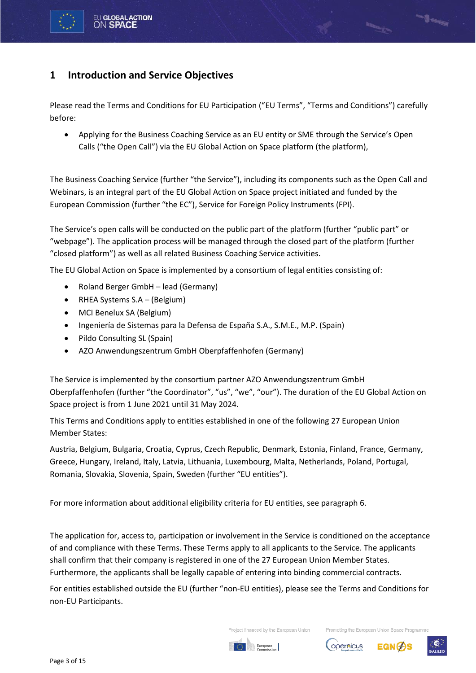

# <span id="page-2-0"></span>**1 Introduction and Service Objectives**

Please read the Terms and Conditions for EU Participation ("EU Terms", "Terms and Conditions") carefully before:

• Applying for the Business Coaching Service as an EU entity or SME through the Service's Open Calls ("the Open Call") via the EU Global Action on Space platform (the platform),

The Business Coaching Service (further "the Service"), including its components such as the Open Call and Webinars, is an integral part of the EU Global Action on Space project initiated and funded by the European Commission (further "the EC"), Service for Foreign Policy Instruments (FPI).

The Service's open calls will be conducted on the public part of the platform (further "public part" or "webpage"). The application process will be managed through the closed part of the platform (further "closed platform") as well as all related Business Coaching Service activities.

The EU Global Action on Space is implemented by a consortium of legal entities consisting of:

- Roland Berger GmbH lead (Germany)
- RHEA Systems S.A (Belgium)
- MCI Benelux SA (Belgium)
- Ingeniería de Sistemas para la Defensa de España S.A., S.M.E., M.P. (Spain)
- Pildo Consulting SL (Spain)
- AZO Anwendungszentrum GmbH Oberpfaffenhofen (Germany)

The Service is implemented by the consortium partner AZO Anwendungszentrum GmbH Oberpfaffenhofen (further "the Coordinator", "us", "we", "our"). The duration of the EU Global Action on Space project is from 1 June 2021 until 31 May 2024.

This Terms and Conditions apply to entities established in one of the following 27 European Union Member States:

Austria, Belgium, Bulgaria, Croatia, Cyprus, Czech Republic, Denmark, Estonia, Finland, France, Germany, Greece, Hungary, Ireland, Italy, Latvia, Lithuania, Luxembourg, Malta, Netherlands, Poland, Portugal, Romania, Slovakia, Slovenia, Spain, Sweden (further "EU entities").

For more information about additional eligibility criteria for EU entities, see paragraph 6.

The application for, access to, participation or involvement in the Service is conditioned on the acceptance of and compliance with these Terms. These Terms apply to all applicants to the Service. The applicants shall confirm that their company is registered in one of the 27 European Union Member States. Furthermore, the applicants shall be legally capable of entering into binding commercial contracts.

For entities established outside the EU (further "non-EU entities), please see the Terms and Conditions for non-EU Participants.

Project financed by the European Union









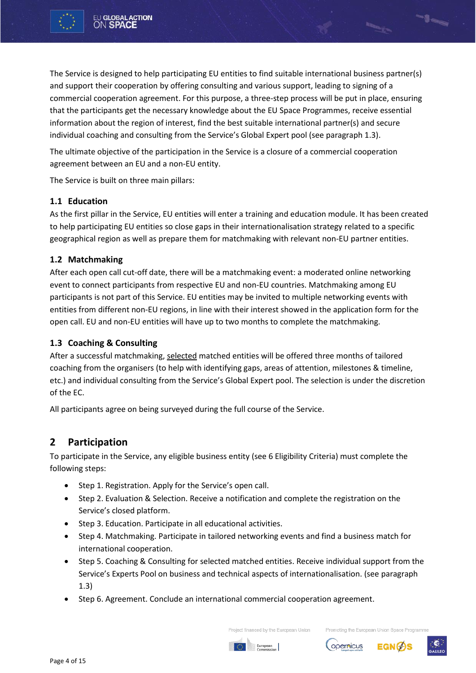

The Service is designed to help participating EU entities to find suitable international business partner(s) and support their cooperation by offering consulting and various support, leading to signing of a commercial cooperation agreement. For this purpose, a three-step process will be put in place, ensuring that the participants get the necessary knowledge about the EU Space Programmes, receive essential information about the region of interest, find the best suitable international partner(s) and secure individual coaching and consulting from the Service's Global Expert pool (see paragraph 1.3).

The ultimate objective of the participation in the Service is a closure of a commercial cooperation agreement between an EU and a non-EU entity.

The Service is built on three main pillars:

#### <span id="page-3-0"></span>**1.1 Education**

As the first pillar in the Service, EU entities will enter a training and education module. It has been created to help participating EU entities so close gaps in their internationalisation strategy related to a specific geographical region as well as prepare them for matchmaking with relevant non-EU partner entities.

#### <span id="page-3-1"></span>**1.2 Matchmaking**

After each open call cut-off date, there will be a matchmaking event: a moderated online networking event to connect participants from respective EU and non-EU countries. Matchmaking among EU participants is not part of this Service. EU entities may be invited to multiple networking events with entities from different non-EU regions, in line with their interest showed in the application form for the open call. EU and non-EU entities will have up to two months to complete the matchmaking.

#### <span id="page-3-2"></span>**1.3 Coaching & Consulting**

After a successful matchmaking, selected matched entities will be offered three months of tailored coaching from the organisers (to help with identifying gaps, areas of attention, milestones & timeline, etc.) and individual consulting from the Service's Global Expert pool. The selection is under the discretion of the EC.

<span id="page-3-3"></span>All participants agree on being surveyed during the full course of the Service.

### **2 Participation**

To participate in the Service, any eligible business entity (see 6 Eligibility Criteria) must complete the following steps:

- Step 1. Registration. Apply for the Service's open call.
- Step 2. Evaluation & Selection. Receive a notification and complete the registration on the Service's closed platform.
- Step 3. Education. Participate in all educational activities.
- Step 4. Matchmaking. Participate in tailored networking events and find a business match for international cooperation.
- Step 5. Coaching & Consulting for selected matched entities. Receive individual support from the Service's Experts Pool on business and technical aspects of internationalisation. (see paragraph 1.3)
- Step 6. Agreement. Conclude an international commercial cooperation agreement.



Promoting the European Union Space Programm





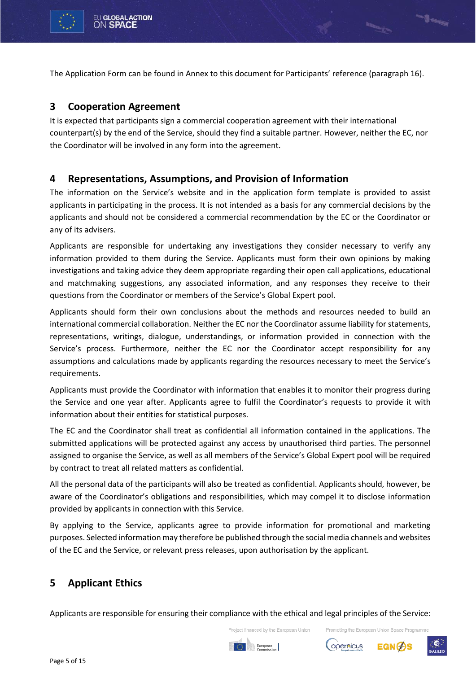

The Application Form can be found in Annex to this document for Participants' reference (paragraph 16).

#### <span id="page-4-0"></span>**3 Cooperation Agreement**

It is expected that participants sign a commercial cooperation agreement with their international counterpart(s) by the end of the Service, should they find a suitable partner. However, neither the EC, nor the Coordinator will be involved in any form into the agreement.

#### <span id="page-4-1"></span>**4 Representations, Assumptions, and Provision of Information**

The information on the Service's website and in the application form template is provided to assist applicants in participating in the process. It is not intended as a basis for any commercial decisions by the applicants and should not be considered a commercial recommendation by the EC or the Coordinator or any of its advisers.

Applicants are responsible for undertaking any investigations they consider necessary to verify any information provided to them during the Service. Applicants must form their own opinions by making investigations and taking advice they deem appropriate regarding their open call applications, educational and matchmaking suggestions, any associated information, and any responses they receive to their questions from the Coordinator or members of the Service's Global Expert pool.

Applicants should form their own conclusions about the methods and resources needed to build an international commercial collaboration. Neither the EC nor the Coordinator assume liability for statements, representations, writings, dialogue, understandings, or information provided in connection with the Service's process. Furthermore, neither the EC nor the Coordinator accept responsibility for any assumptions and calculations made by applicants regarding the resources necessary to meet the Service's requirements.

Applicants must provide the Coordinator with information that enables it to monitor their progress during the Service and one year after. Applicants agree to fulfil the Coordinator's requests to provide it with information about their entities for statistical purposes.

The EC and the Coordinator shall treat as confidential all information contained in the applications. The submitted applications will be protected against any access by unauthorised third parties. The personnel assigned to organise the Service, as well as all members of the Service's Global Expert pool will be required by contract to treat all related matters as confidential.

All the personal data of the participants will also be treated as confidential. Applicants should, however, be aware of the Coordinator's obligations and responsibilities, which may compel it to disclose information provided by applicants in connection with this Service.

By applying to the Service, applicants agree to provide information for promotional and marketing purposes. Selected information may therefore be published through the social media channels and websites of the EC and the Service, or relevant press releases, upon authorisation by the applicant.

### <span id="page-4-2"></span>**5 Applicant Ethics**

Applicants are responsible for ensuring their compliance with the ethical and legal principles of the Service:

Project financed by the European Union





Promoting the European Union Space Programme

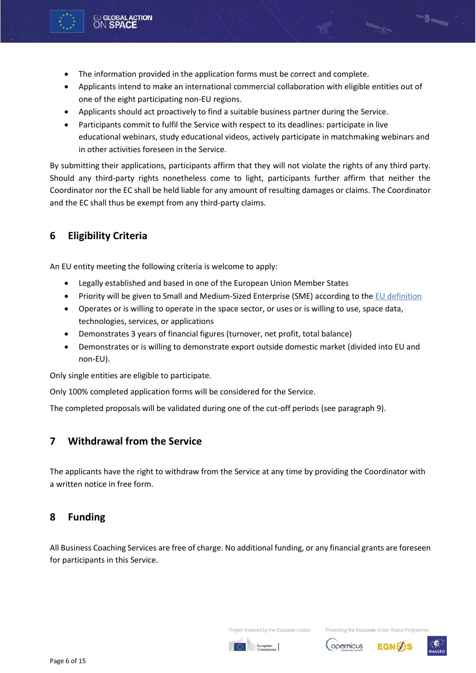

- The information provided in the application forms must be correct and complete.
- Applicants intend to make an international commercial collaboration with eligible entities out of one of the eight participating non-EU regions.
- Applicants should act proactively to find a suitable business partner during the Service.
- Participants commit to fulfil the Service with respect to its deadlines: participate in live educational webinars, study educational videos, actively participate in matchmaking webinars and in other activities foreseen in the Service.

By submitting their applications, participants affirm that they will not violate the rights of any third party. Should any third-party rights nonetheless come to light, participants further affirm that neither the Coordinator nor the EC shall be held liable for any amount of resulting damages or claims. The Coordinator and the EC shall thus be exempt from any third-party claims.

# <span id="page-5-0"></span>**6 Eligibility Criteria**

An EU entity meeting the following criteria is welcome to apply:

- Legally established and based in one of the European Union Member States
- Priority will be given to Small and Medium-Sized Enterprise (SME) according to the [EU definition](https://ec.europa.eu/growth/smes/sme-definition_en)
- Operates or is willing to operate in the space sector, or uses or is willing to use, space data, technologies, services, or applications
- Demonstrates 3 years of financial figures (turnover, net profit, total balance)
- Demonstrates or is willing to demonstrate export outside domestic market (divided into EU and non-EU).

Only single entities are eligible to participate.

Only 100% completed application forms will be considered for the Service.

<span id="page-5-1"></span>The completed proposals will be validated during one of the cut-off periods (see paragraph 9).

#### **7 Withdrawal from the Service**

The applicants have the right to withdraw from the Service at any time by providing the Coordinator with a written notice in free form.

#### <span id="page-5-2"></span>**8 Funding**

All Business Coaching Services are free of charge. No additional funding, or any financial grants are foreseen for participants in this Service.

Project financed by the European Union





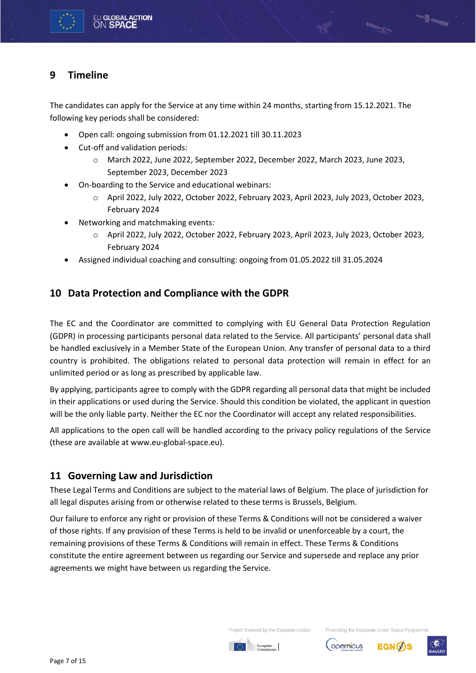# <span id="page-6-0"></span>**9 Timeline**

The candidates can apply for the Service at any time within 24 months, starting from 15.12.2021. The following key periods shall be considered:

- Open call: ongoing submission from 01.12.2021 till 30.11.2023
- Cut-off and validation periods:
	- o March 2022, June 2022, September 2022, December 2022, March 2023, June 2023, September 2023, December 2023
- On-boarding to the Service and educational webinars:
	- o April 2022, July 2022, October 2022, February 2023, April 2023, July 2023, October 2023, February 2024
- Networking and matchmaking events:
	- o April 2022, July 2022, October 2022, February 2023, April 2023, July 2023, October 2023, February 2024
- Assigned individual coaching and consulting: ongoing from 01.05.2022 till 31.05.2024

# <span id="page-6-1"></span>**10 Data Protection and Compliance with the GDPR**

The EC and the Coordinator are committed to complying with EU General Data Protection Regulation (GDPR) in processing participants personal data related to the Service. All participants' personal data shall be handled exclusively in a Member State of the European Union. Any transfer of personal data to a third country is prohibited. The obligations related to personal data protection will remain in effect for an unlimited period or as long as prescribed by applicable law.

By applying, participants agree to comply with the GDPR regarding all personal data that might be included in their applications or used during the Service. Should this condition be violated, the applicant in question will be the only liable party. Neither the EC nor the Coordinator will accept any related responsibilities.

All applications to the open call will be handled according to the privacy policy regulations of the Service (these are available at www.eu-global-space.eu).

### <span id="page-6-2"></span>**11 Governing Law and Jurisdiction**

These Legal Terms and Conditions are subject to the material laws of Belgium. The place of jurisdiction for all legal disputes arising from or otherwise related to these terms is Brussels, Belgium.

Our failure to enforce any right or provision of these Terms & Conditions will not be considered a waiver of those rights. If any provision of these Terms is held to be invalid or unenforceable by a court, the remaining provisions of these Terms & Conditions will remain in effect. These Terms & Conditions constitute the entire agreement between us regarding our Service and supersede and replace any prior agreements we might have between us regarding the Service.



Promoting the European Union Space Programm



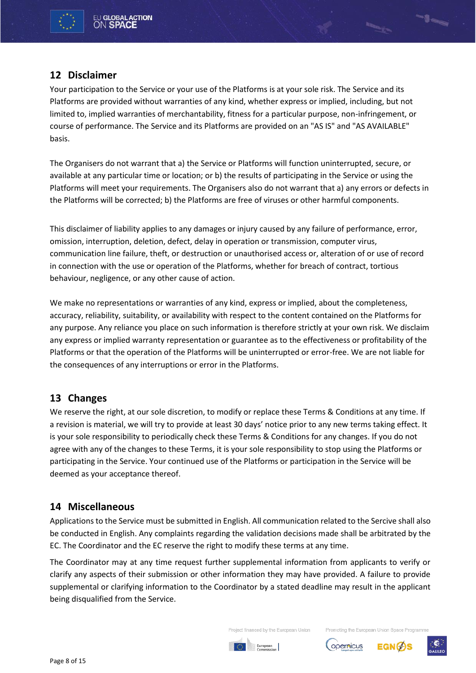### <span id="page-7-0"></span>**12 Disclaimer**

Your participation to the Service or your use of the Platforms is at your sole risk. The Service and its Platforms are provided without warranties of any kind, whether express or implied, including, but not limited to, implied warranties of merchantability, fitness for a particular purpose, non-infringement, or course of performance. The Service and its Platforms are provided on an "AS IS" and "AS AVAILABLE" basis.

The Organisers do not warrant that a) the Service or Platforms will function uninterrupted, secure, or available at any particular time or location; or b) the results of participating in the Service or using the Platforms will meet your requirements. The Organisers also do not warrant that a) any errors or defects in the Platforms will be corrected; b) the Platforms are free of viruses or other harmful components.

This disclaimer of liability applies to any damages or injury caused by any failure of performance, error, omission, interruption, deletion, defect, delay in operation or transmission, computer virus, communication line failure, theft, or destruction or unauthorised access or, alteration of or use of record in connection with the use or operation of the Platforms, whether for breach of contract, tortious behaviour, negligence, or any other cause of action.

We make no representations or warranties of any kind, express or implied, about the completeness, accuracy, reliability, suitability, or availability with respect to the content contained on the Platforms for any purpose. Any reliance you place on such information is therefore strictly at your own risk. We disclaim any express or implied warranty representation or guarantee as to the effectiveness or profitability of the Platforms or that the operation of the Platforms will be uninterrupted or error-free. We are not liable for the consequences of any interruptions or error in the Platforms.

### <span id="page-7-1"></span>**13 Changes**

We reserve the right, at our sole discretion, to modify or replace these Terms & Conditions at any time. If a revision is material, we will try to provide at least 30 days' notice prior to any new terms taking effect. It is your sole responsibility to periodically check these Terms & Conditions for any changes. If you do not agree with any of the changes to these Terms, it is your sole responsibility to stop using the Platforms or participating in the Service. Your continued use of the Platforms or participation in the Service will be deemed as your acceptance thereof.

### <span id="page-7-2"></span>**14 Miscellaneous**

Applications to the Service must be submitted in English. All communication related to the Sercive shall also be conducted in English. Any complaints regarding the validation decisions made shall be arbitrated by the EC. The Coordinator and the EC reserve the right to modify these terms at any time.

The Coordinator may at any time request further supplemental information from applicants to verify or clarify any aspects of their submission or other information they may have provided. A failure to provide supplemental or clarifying information to the Coordinator by a stated deadline may result in the applicant being disqualified from the Service.



Promoting the European Union Space Programme





-l-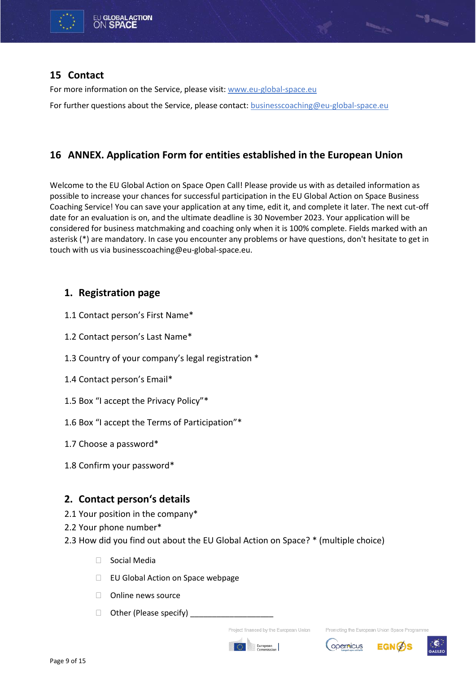

# <span id="page-8-0"></span>**15 Contact**

For more information on the Service, please visit: [www.eu-global-space.eu](http://www.eu-global-space.eu/)

For further questions about the Service, please contact[: businesscoaching@eu-global-space.eu](businesscoaching@eu-global-space.eu)

# <span id="page-8-1"></span>**16 ANNEX. Application Form for entities established in the European Union**

Welcome to the EU Global Action on Space Open Call! Please provide us with as detailed information as possible to increase your chances for successful participation in the EU Global Action on Space Business Coaching Service! You can save your application at any time, edit it, and complete it later. The next cut-off date for an evaluation is on, and the ultimate deadline is 30 November 2023. Your application will be considered for business matchmaking and coaching only when it is 100% complete. Fields marked with an asterisk (\*) are mandatory. In case you encounter any problems or have questions, don't hesitate to get in touch with us via businesscoaching@eu-global-space.eu.

# **1. Registration page**

- 1.1 Contact person's First Name\*
- 1.2 Contact person's Last Name\*
- 1.3 Country of your company's legal registration \*
- 1.4 Contact person's Email\*
- 1.5 Box "I accept the Privacy Policy"\*
- 1.6 Box "I accept the Terms of Participation"\*
- 1.7 Choose a password\*
- 1.8 Confirm your password\*

# **2. Contact person's details**

- 2.1 Your position in the company\*
- 2.2 Your phone number\*
- 2.3 How did you find out about the EU Global Action on Space? \* (multiple choice)
	- □ Social Media
	- □ EU Global Action on Space webpage
	- $\Box$  Online news source
	- $\Box$  Other (Please specify)  $\Box$

Project financed by the European Union





Promoting the European Union Space Programn

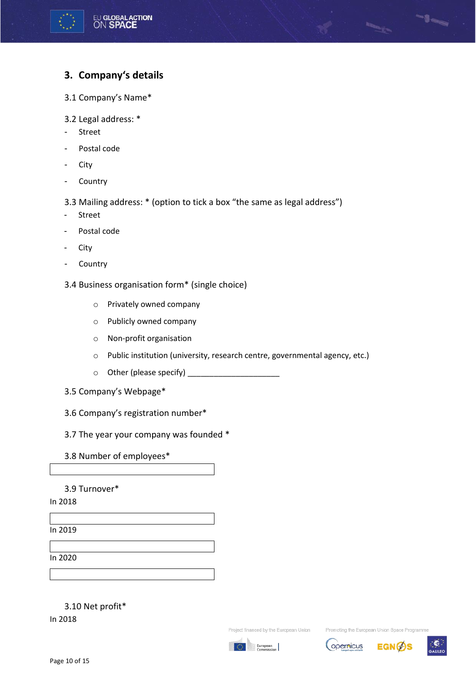

# **3. Company's details**

- 3.1 Company's Name\*
- 3.2 Legal address: \*
- Street
- Postal code
- City
- **Country**

3.3 Mailing address: \* (option to tick a box "the same as legal address")

- **Street**
- Postal code
- City
- **Country**

3.4 Business organisation form\* (single choice)

- o Privately owned company
- o Publicly owned company
- o Non-profit organisation
- o Public institution (university, research centre, governmental agency, etc.)
- $\circ$  Other (please specify)  $\qquad \qquad$
- 3.5 Company's Webpage\*
- 3.6 Company's registration number\*
- 3.7 The year your company was founded \*

#### 3.8 Number of employees\*

#### 3.9 Turnover\*

#### In 2018

In 2019

In 2020

#### 3.10 Net profit\*

In 2018

Project financed by the European Union









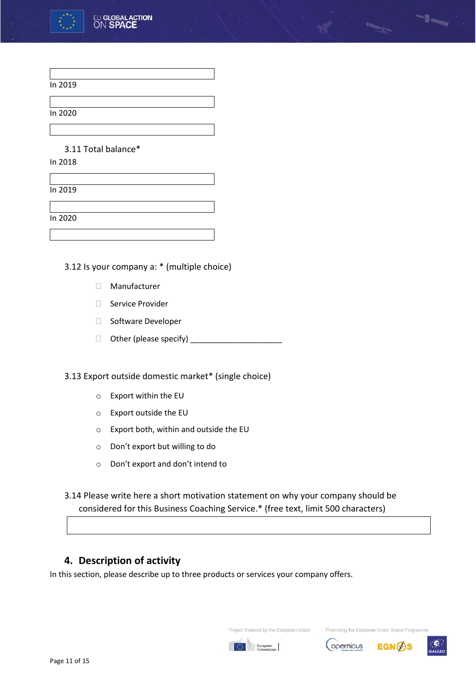

In 2020

3.11 Total balance\*

In 2018

In 2019

In 2020

3.12 Is your company a: \* (multiple choice)

- Manufacturer
- □ Service Provider
- □ Software Developer
- $\Box$  Other (please specify)

3.13 Export outside domestic market\* (single choice)

- o Export within the EU
- o Export outside the EU
- o Export both, within and outside the EU
- o Don't export but willing to do
- o Don't export and don't intend to

3.14 Please write here a short motivation statement on why your company should be considered for this Business Coaching Service.\* (free text, limit 500 characters)

# **4. Description of activity**

In this section, please describe up to three products or services your company offers.

Project financed by the European Union



Promoting the European Union Space Programme



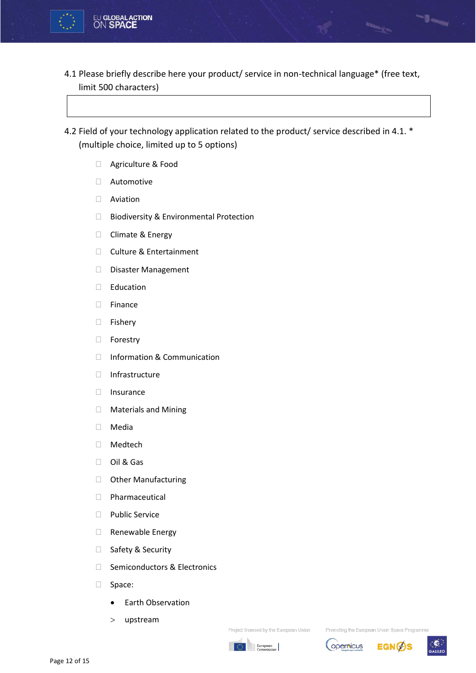

4.1 Please briefly describe here your product/ service in non-technical language\* (free text, limit 500 characters)

4.2 Field of your technology application related to the product/ service described in 4.1. \* (multiple choice, limited up to 5 options)

- Agriculture & Food
- Automotive
- Aviation
- □ Biodiversity & Environmental Protection
- □ Climate & Energy
- □ Culture & Entertainment
- Disaster Management
- $\Box$  Education
- Finance
- **Fishery**
- □ Forestry
- □ Information & Communication
- $\Box$  Infrastructure
- □ Insurance
- Materials and Mining
- Media
- Medtech
- Oil & Gas
- **D** Other Manufacturing
- Pharmaceutical
- D Public Service
- Renewable Energy
- □ Safety & Security
- □ Semiconductors & Electronics
- Space:
	- Earth Observation
	- upstream

Project financed by the European Union



opernicus



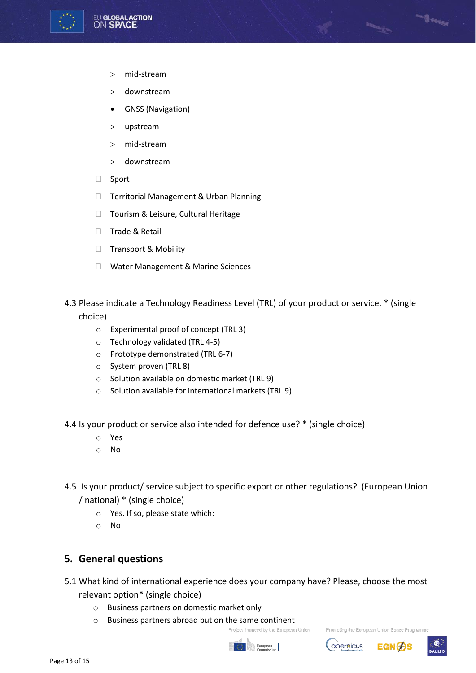

- mid-stream
- downstream
- GNSS (Navigation)
- upstream
- mid-stream
- downstream
- □ Sport
- □ Territorial Management & Urban Planning
- □ Tourism & Leisure, Cultural Heritage
- $\Box$  Trade & Retail
- □ Transport & Mobility
- □ Water Management & Marine Sciences
- 4.3 Please indicate a Technology Readiness Level (TRL) of your product or service. \* (single choice)
	- o Experimental proof of concept (TRL 3)
	- o Technology validated (TRL 4-5)
	- o Prototype demonstrated (TRL 6-7)
	- o System proven (TRL 8)
	- o Solution available on domestic market (TRL 9)
	- o Solution available for international markets (TRL 9)

4.4 Is your product or service also intended for defence use? \* (single choice)

- o Yes
- o No
- 4.5 Is your product/ service subject to specific export or other regulations? (European Union / national) \* (single choice)
	- o Yes. If so, please state which:
	- o No

#### **5. General questions**

- 5.1 What kind of international experience does your company have? Please, choose the most relevant option\* (single choice)
	- o Business partners on domestic market only
	- o Business partners abroad but on the same continent

Promoting the European Union Space Programm



Project financed by the European Union





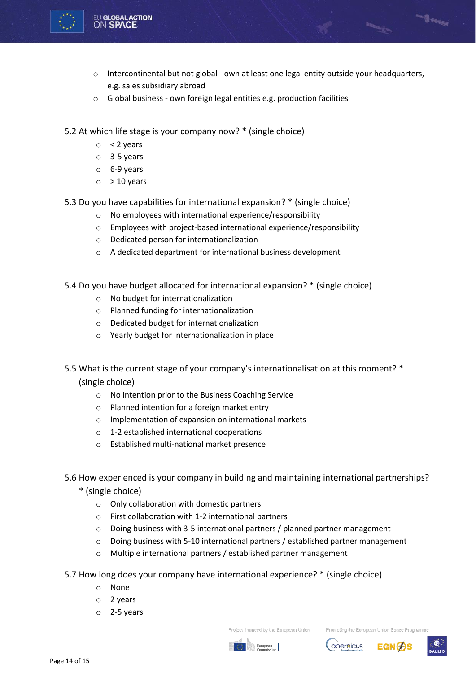

- $\circ$  Intercontinental but not global own at least one legal entity outside your headquarters, e.g. sales subsidiary abroad
- o Global business own foreign legal entities e.g. production facilities

5.2 At which life stage is your company now? \* (single choice)

- $\circ$  < 2 years
- o 3-5 years
- o 6-9 years
- $\circ$  > 10 years
- 5.3 Do you have capabilities for international expansion? \* (single choice)
	- o No employees with international experience/responsibility
	- o Employees with project-based international experience/responsibility
	- o Dedicated person for internationalization
	- o A dedicated department for international business development
- 5.4 Do you have budget allocated for international expansion? \* (single choice)
	- o No budget for internationalization
	- o Planned funding for internationalization
	- o Dedicated budget for internationalization
	- o Yearly budget for internationalization in place
- 5.5 What is the current stage of your company's internationalisation at this moment? \* (single choice)
	- o No intention prior to the Business Coaching Service
	- o Planned intention for a foreign market entry
	- o Implementation of expansion on international markets
	- o 1-2 established international cooperations
	- o Established multi-national market presence
- 5.6 How experienced is your company in building and maintaining international partnerships?
	- \* (single choice)
		- o Only collaboration with domestic partners
		- o First collaboration with 1-2 international partners
		- o Doing business with 3-5 international partners / planned partner management
		- o Doing business with 5-10 international partners / established partner management
		- o Multiple international partners / established partner management
- 5.7 How long does your company have international experience? \* (single choice)
	- o None
	- o 2 years
	- o 2-5 years





Promoting the European Union Space Programm

-les